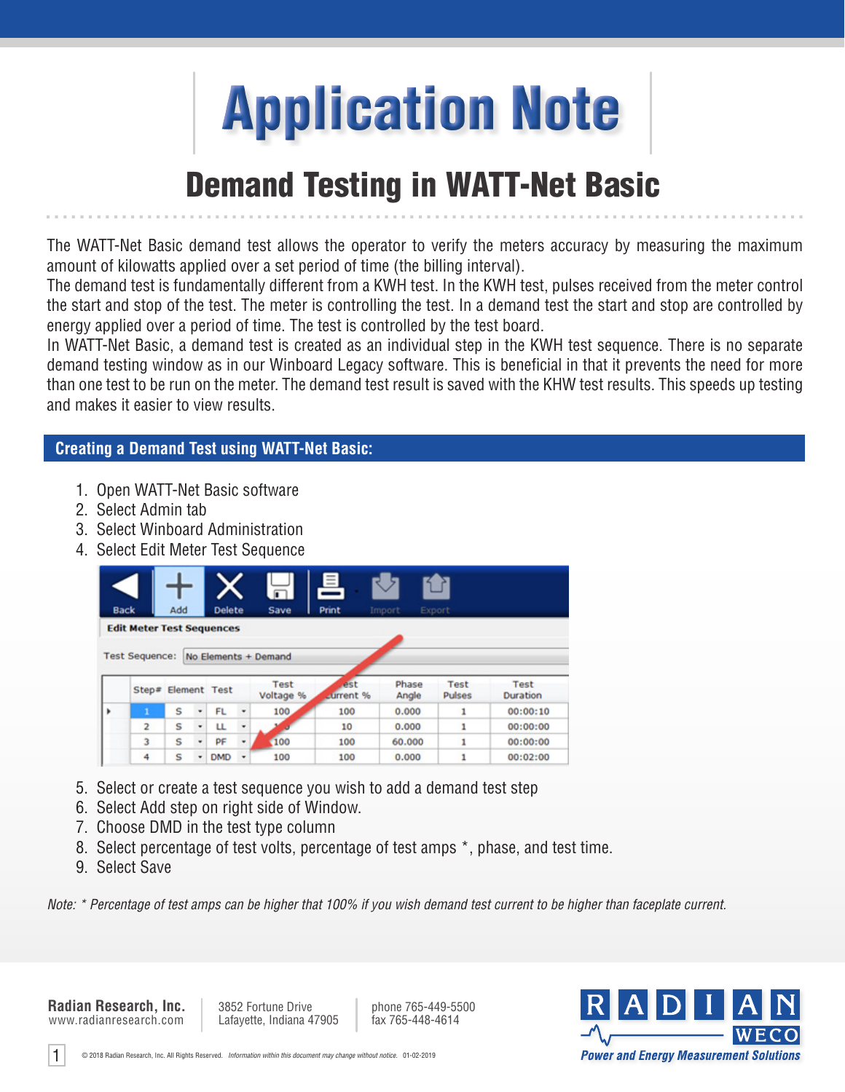

## **Demand Testing in WATT-Net Basic**

The WATT-Net Basic demand test allows the operator to verify the meters accuracy by measuring the maximum amount of kilowatts applied over a set period of time (the billing interval).

The demand test is fundamentally different from a KWH test. In the KWH test, pulses received from the meter control the start and stop of the test. The meter is controlling the test. In a demand test the start and stop are controlled by energy applied over a period of time. The test is controlled by the test board.

In WATT-Net Basic, a demand test is created as an individual step in the KWH test sequence. There is no separate demand testing window as in our Winboard Legacy software. This is beneficial in that it prevents the need for more than one test to be run on the meter. The demand test result is saved with the KHW test results. This speeds up testing and makes it easier to view results.

## **Creating a Demand Test using WATT-Net Basic:**

- 1. Open WATT-Net Basic software
- 2. Select Admin tab
- 3. Select Winboard Administration
- 4. Select Edit Meter Test Sequence

|   |                                  |     |   |               |   | $\overline{\blacksquare}$ | 팈                |                |                       |                      |
|---|----------------------------------|-----|---|---------------|---|---------------------------|------------------|----------------|-----------------------|----------------------|
|   | <b>Back</b>                      | Add |   | <b>Delete</b> |   | Save                      | Print            | Import         | Export                |                      |
|   | <b>Edit Meter Test Sequences</b> |     |   |               |   |                           |                  |                |                       |                      |
|   |                                  |     |   |               |   |                           |                  |                |                       |                      |
|   | <b>Test Sequence:</b>            |     |   |               |   | No Elements + Demand      |                  |                |                       |                      |
|   |                                  |     |   |               |   |                           |                  |                |                       |                      |
|   |                                  |     |   |               |   |                           |                  |                |                       |                      |
|   | Step# Element Test               |     |   |               |   | Test<br>Voltage %         | est<br>Lurrent % | Phase<br>Angle | Test<br><b>Pulses</b> | Test<br>Duration     |
|   |                                  | s   | ٠ | <b>FL</b>     | ٠ | 100                       | 100              | 0.000          | 1                     |                      |
|   | $\overline{2}$                   | S   | ٠ | ш             | ٠ |                           | 10               | 0.000          | 1                     | 00:00:10<br>00:00:00 |
| k | 3                                | s   | ٠ | PF            | ٠ | 100                       | 100              | 60.000         | ı                     | 00:00:00             |

- 5. Select or create a test sequence you wish to add a demand test step
- 6. Select Add step on right side of Window.
- 7. Choose DMD in the test type column
- 8. Select percentage of test volts, percentage of test amps \*, phase, and test time.
- 9. Select Save

*Note: \* Percentage of test amps can be higher that 100% if you wish demand test current to be higher than faceplate current.*

www.radianresearch.com **Radian Research, Inc.**

1

3852 Fortune Drive Lafayette, Indiana 47905 phone 765-449-5500<br>fax 765-448-4614

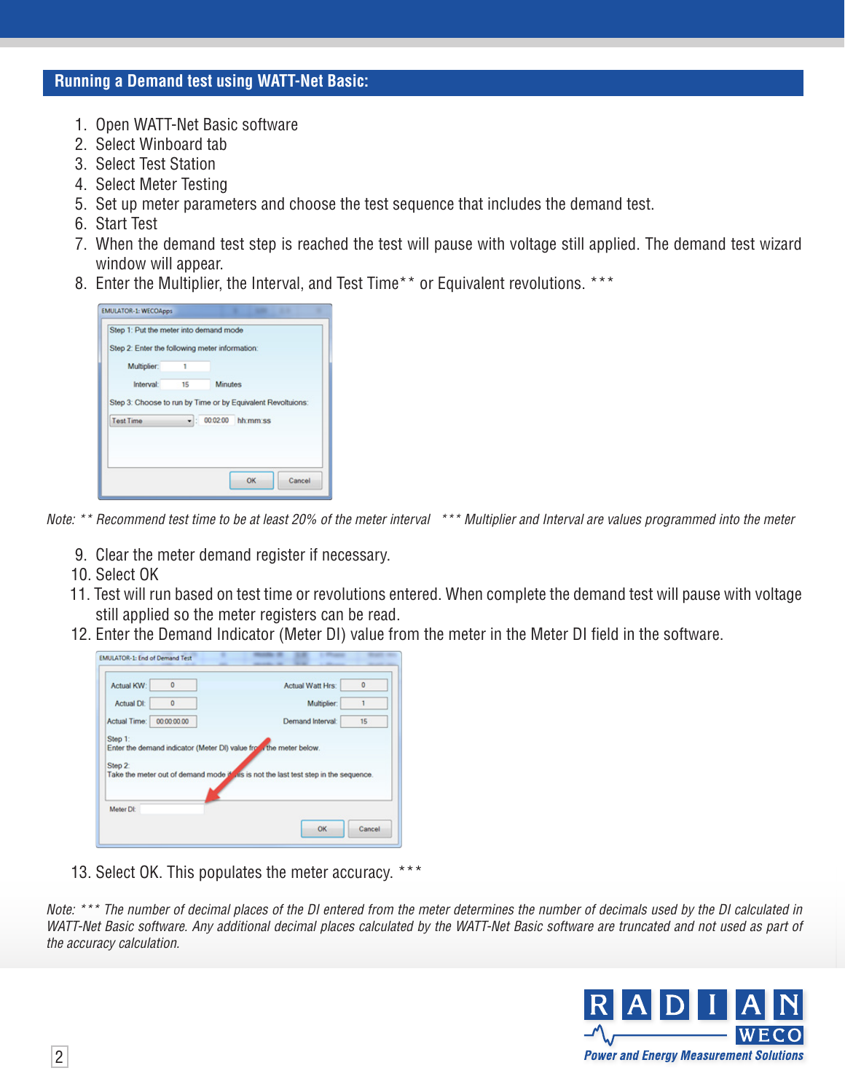## **Running a Demand test using WATT-Net Basic:**

- 1. Open WATT-Net Basic software
- 2. Select Winboard tab
- 3. Select Test Station
- 4. Select Meter Testing
- 5. Set up meter parameters and choose the test sequence that includes the demand test.
- 6. Start Test
- 7. When the demand test step is reached the test will pause with voltage still applied. The demand test wizard window will appear.
- 8. Enter the Multiplier, the Interval, and Test Time<sup>\*\*</sup> or Equivalent revolutions. \*\*\*

| Interval:        | 15 | <b>Minutes</b> |          |  |
|------------------|----|----------------|----------|--|
| <b>Test Time</b> |    | $-$ : 00:02:00 | hh:mm:ss |  |

*Note: \*\* Recommend test time to be at least 20% of the meter interval \*\*\* Multiplier and Interval are values programmed into the meter*

- 9. Clear the meter demand register if necessary.
- 10. Select OK
- 11. Test will run based on test time or revolutions entered. When complete the demand test will pause with voltage still applied so the meter registers can be read.
- 12. Enter the Demand Indicator (Meter DI) value from the meter in the Meter DI field in the software.

| Actual KW:         | $\mathbf 0$ | Actual Watt Hrs:                                                                    | o  |
|--------------------|-------------|-------------------------------------------------------------------------------------|----|
| Actual Dt:         | $\mathbf 0$ | Multiplier:                                                                         | 1  |
| Actual Time:       | 00:00:00:00 | Demand Interval:                                                                    | 15 |
| Step 1:<br>Step 2: |             | Enter the demand indicator (Meter DI) value from the meter below.                   |    |
|                    |             | Take the meter out of demand mode if his is not the last test step in the sequence. |    |

13. Select OK. This populates the meter accuracy. \*\*\*

*Note: \*\*\* The number of decimal places of the DI entered from the meter determines the number of decimals used by the DI calculated in*  WATT-Net Basic software. Any additional decimal places calculated by the WATT-Net Basic software are truncated and not used as part of *the accuracy calculation.*